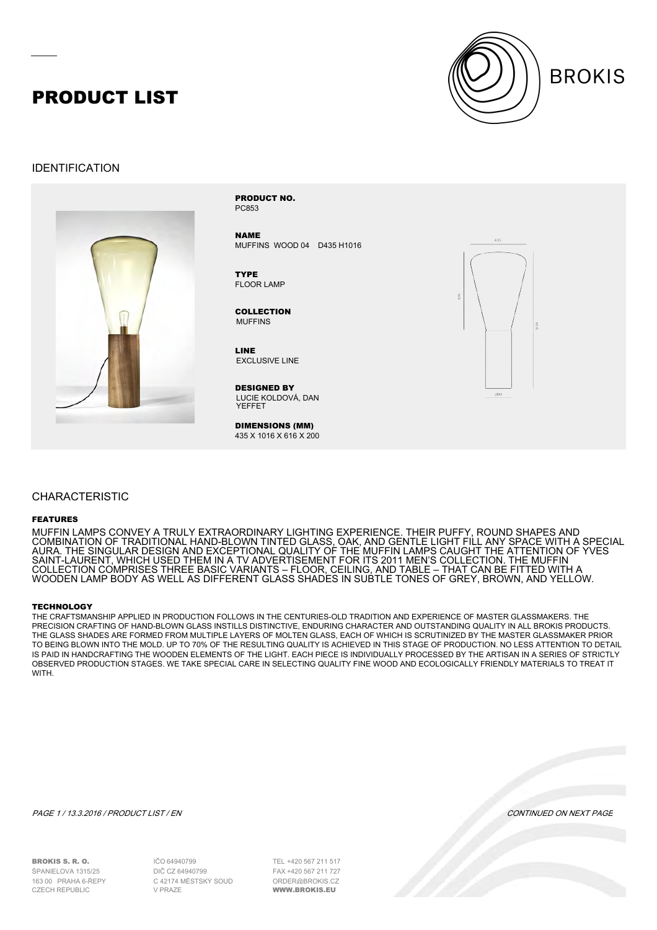## PRODUCT LIST



### IDENTIFICATION



PC853 PRODUCT NO.

NAME MUFFINS WOOD 04 D435 H1016

FLOOR LAMP **TYPE** 

MUFFINS COLLECTION

EXCLUSIVE LINE LINE

LUCIE KOLDOVÁ, DAN YEFFET DESIGNED BY

DIMENSIONS (MM) 435 X 1016 X 616 X 200



### CHARACTERISTIC

#### FEATURES

MUFFIN LAMPS CONVEY A TRULY EXTRAORDINARY LIGHTING EXPERIENCE. THEIR PUFFY, ROUND SHAPES AND COMBINATION OF TRADITIONAL HAND-BLOWN TINTED GLASS, OAK, AND GENTLE LIGHT FILL ANY SPACE WITH A SPECIAL AURA. THE SINGULAR DESIGN AND EXCEPTIONAL QUALITY OF THE MUFFIN LAMPS CAUGHT THE ATTENTION OF YVES SAINT-LAURENT, WHICH USED THEM IN A TV ADVERTISEMENT FOR ITS 2011 MEN'S COLLECTION. THE MUFFIN COLLECTION COMPRISES THREE BASIC VARIANTS – FLOOR, CEILING, AND TABLE – THAT CAN BE FITTED WITH A WOODEN LAMP BODY AS WELL AS DIFFERENT GLASS SHADES IN SUBTLE TONES OF GREY, BROWN, AND YELLOW.

#### **TECHNOLOGY**

THE CRAFTSMANSHIP APPLIED IN PRODUCTION FOLLOWS IN THE CENTURIES-OLD TRADITION AND EXPERIENCE OF MASTER GLASSMAKERS. THE PRECISION CRAFTING OF HAND-BLOWN GLASS INSTILLS DISTINCTIVE, ENDURING CHARACTER AND OUTSTANDING QUALITY IN ALL BROKIS PRODUCTS. THE GLASS SHADES ARE FORMED FROM MULTIPLE LAYERS OF MOLTEN GLASS, EACH OF WHICH IS SCRUTINIZED BY THE MASTER GLASSMAKER PRIOR TO BEING BLOWN INTO THE MOLD. UP TO 70% OF THE RESULTING QUALITY IS ACHIEVED IN THIS STAGE OF PRODUCTION. NO LESS ATTENTION TO DETAIL IS PAID IN HANDCRAFTING THE WOODEN ELEMENTS OF THE LIGHT. EACH PIECE IS INDIVIDUALLY PROCESSED BY THE ARTISAN IN A SERIES OF STRICTLY OBSERVED PRODUCTION STAGES. WE TAKE SPECIAL CARE IN SELECTING QUALITY FINE WOOD AND ECOLOGICALLY FRIENDLY MATERIALS TO TREAT IT **WITH** 

PAGE 1 / 13.3.2016 / PRODUCT LIST / EN CONTINUED ON NEXT PAGE

BROKIS S. R. O. ŠPANIELOVA 1315/25 163 00 PRAHA 6-ŘEPY

64940799 IČO DIČ CZ 64940799 C 42174 MĚSTSKÝ SOUD V PRAZE

+420 567 211 517 TEL +420 567 211 727 FAXORDER@BROKIS.CZ WWW.BROKIS.EU